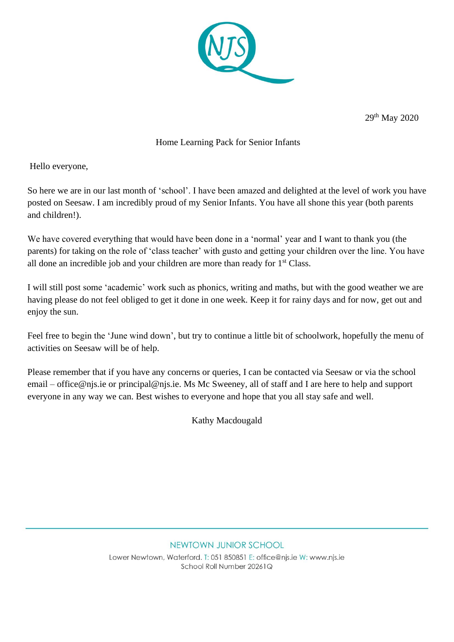

29th May 2020

# Home Learning Pack for Senior Infants

Hello everyone,

So here we are in our last month of 'school'. I have been amazed and delighted at the level of work you have posted on Seesaw. I am incredibly proud of my Senior Infants. You have all shone this year (both parents and children!).

We have covered everything that would have been done in a 'normal' year and I want to thank you (the parents) for taking on the role of 'class teacher' with gusto and getting your children over the line. You have all done an incredible job and your children are more than ready for  $1<sup>st</sup> Class$ .

I will still post some 'academic' work such as phonics, writing and maths, but with the good weather we are having please do not feel obliged to get it done in one week. Keep it for rainy days and for now, get out and enjoy the sun.

Feel free to begin the 'June wind down', but try to continue a little bit of schoolwork, hopefully the menu of activities on Seesaw will be of help.

Please remember that if you have any concerns or queries, I can be contacted via Seesaw or via the school email – office@njs.ie or principal@njs.ie. Ms Mc Sweeney, all of staff and I are here to help and support everyone in any way we can. Best wishes to everyone and hope that you all stay safe and well.

Kathy Macdougald

#### NEWTOWN JUNIOR SCHOOL

Lower Newtown, Waterford, T: 051 850851 E: office@nis.ie W: www.nis.ie School Roll Number 20261Q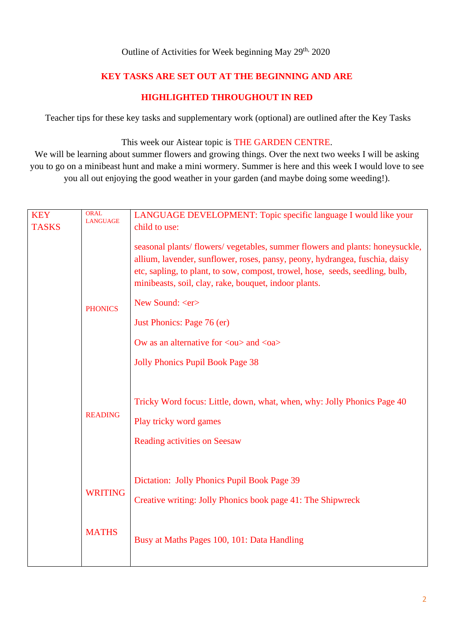### Outline of Activities for Week beginning May 29<sup>th,</sup> 2020

## **KEY TASKS ARE SET OUT AT THE BEGINNING AND ARE**

## **HIGHLIGHTED THROUGHOUT IN RED**

Teacher tips for these key tasks and supplementary work (optional) are outlined after the Key Tasks

### This week our Aistear topic is THE GARDEN CENTRE.

We will be learning about summer flowers and growing things. Over the next two weeks I will be asking you to go on a minibeast hunt and make a mini wormery. Summer is here and this week I would love to see you all out enjoying the good weather in your garden (and maybe doing some weeding!).

| <b>KEY</b>     | <b>ORAL</b>     | LANGUAGE DEVELOPMENT: Topic specific language I would like your                                                                                                                                                                                                                                                                                               |  |  |  |
|----------------|-----------------|---------------------------------------------------------------------------------------------------------------------------------------------------------------------------------------------------------------------------------------------------------------------------------------------------------------------------------------------------------------|--|--|--|
| <b>TASKS</b>   | <b>LANGUAGE</b> | child to use:                                                                                                                                                                                                                                                                                                                                                 |  |  |  |
| <b>PHONICS</b> |                 | seasonal plants/ flowers/ vegetables, summer flowers and plants: honeysuckle,<br>allium, lavender, sunflower, roses, pansy, peony, hydrangea, fuschia, daisy<br>etc, sapling, to plant, to sow, compost, trowel, hose, seeds, seedling, bulb,<br>minibeasts, soil, clay, rake, bouquet, indoor plants.<br>New Sound: <er><br/>Just Phonics: Page 76 (er)</er> |  |  |  |
|                |                 | Ow as an alternative for $\langle \text{ou} \rangle$ and $\langle \text{oa} \rangle$                                                                                                                                                                                                                                                                          |  |  |  |
|                |                 | <b>Jolly Phonics Pupil Book Page 38</b>                                                                                                                                                                                                                                                                                                                       |  |  |  |
|                | <b>READING</b>  | Tricky Word focus: Little, down, what, when, why: Jolly Phonics Page 40<br>Play tricky word games<br><b>Reading activities on Seesaw</b>                                                                                                                                                                                                                      |  |  |  |
|                | <b>WRITING</b>  | Dictation: Jolly Phonics Pupil Book Page 39<br>Creative writing: Jolly Phonics book page 41: The Shipwreck                                                                                                                                                                                                                                                    |  |  |  |
|                | <b>MATHS</b>    | Busy at Maths Pages 100, 101: Data Handling                                                                                                                                                                                                                                                                                                                   |  |  |  |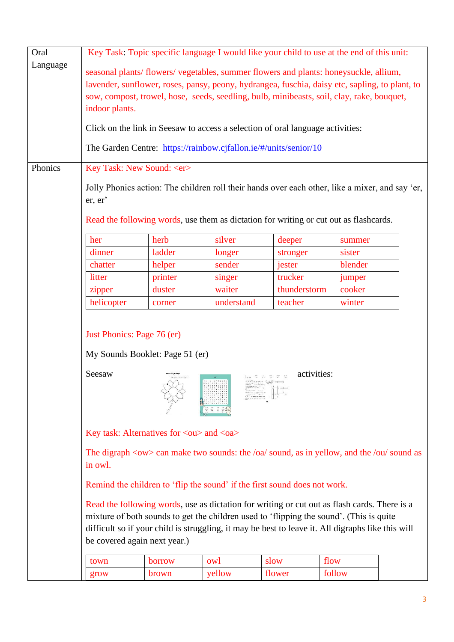| Oral     | Key Task: Topic specific language I would like your child to use at the end of this unit:                                                                                                                                                                                                                                    |                                                                                                 |            |              |         |  |
|----------|------------------------------------------------------------------------------------------------------------------------------------------------------------------------------------------------------------------------------------------------------------------------------------------------------------------------------|-------------------------------------------------------------------------------------------------|------------|--------------|---------|--|
| Language |                                                                                                                                                                                                                                                                                                                              |                                                                                                 |            |              |         |  |
|          | seasonal plants/flowers/vegetables, summer flowers and plants: honeysuckle, allium,                                                                                                                                                                                                                                          |                                                                                                 |            |              |         |  |
|          | lavender, sunflower, roses, pansy, peony, hydrangea, fuschia, daisy etc, sapling, to plant, to                                                                                                                                                                                                                               |                                                                                                 |            |              |         |  |
|          | sow, compost, trowel, hose, seeds, seedling, bulb, minibeasts, soil, clay, rake, bouquet,                                                                                                                                                                                                                                    |                                                                                                 |            |              |         |  |
|          |                                                                                                                                                                                                                                                                                                                              | indoor plants.                                                                                  |            |              |         |  |
|          |                                                                                                                                                                                                                                                                                                                              | Click on the link in Seesaw to access a selection of oral language activities:                  |            |              |         |  |
|          |                                                                                                                                                                                                                                                                                                                              | The Garden Centre: https://rainbow.cjfallon.ie/#/units/senior/10                                |            |              |         |  |
| Phonics  |                                                                                                                                                                                                                                                                                                                              | Key Task: New Sound: <er></er>                                                                  |            |              |         |  |
|          | er, er'                                                                                                                                                                                                                                                                                                                      | Jolly Phonics action: The children roll their hands over each other, like a mixer, and say 'er, |            |              |         |  |
|          |                                                                                                                                                                                                                                                                                                                              | Read the following words, use them as dictation for writing or cut out as flashcards.           |            |              |         |  |
|          | her                                                                                                                                                                                                                                                                                                                          | herb                                                                                            | silver     | deeper       | summer  |  |
|          | dinner                                                                                                                                                                                                                                                                                                                       | ladder                                                                                          | longer     | stronger     | sister  |  |
|          | chatter                                                                                                                                                                                                                                                                                                                      | helper                                                                                          | sender     | jester       | blender |  |
|          | litter                                                                                                                                                                                                                                                                                                                       | printer                                                                                         | singer     | trucker      | jumper  |  |
|          | zipper                                                                                                                                                                                                                                                                                                                       | duster                                                                                          | waiter     | thunderstorm | cooker  |  |
|          | helicopter                                                                                                                                                                                                                                                                                                                   | corner                                                                                          | understand | teacher      | winter  |  |
|          | Just Phonics: Page 76 (er)<br>My Sounds Booklet: Page 51 (er)<br>activities:<br>Seesaw                                                                                                                                                                                                                                       |                                                                                                 |            |              |         |  |
|          | Key task: Alternatives for <ou> and <oa></oa></ou>                                                                                                                                                                                                                                                                           |                                                                                                 |            |              |         |  |
|          | The digraph $\langle$ ow $>$ can make two sounds: the /oa/ sound, as in yellow, and the /ou/ sound as<br>in owl.                                                                                                                                                                                                             |                                                                                                 |            |              |         |  |
|          | Remind the children to 'flip the sound' if the first sound does not work.                                                                                                                                                                                                                                                    |                                                                                                 |            |              |         |  |
|          | Read the following words, use as dictation for writing or cut out as flash cards. There is a<br>mixture of both sounds to get the children used to 'flipping the sound'. (This is quite<br>difficult so if your child is struggling, it may be best to leave it. All digraphs like this will<br>be covered again next year.) |                                                                                                 |            |              |         |  |
|          | town                                                                                                                                                                                                                                                                                                                         | borrow                                                                                          | owl        | slow         | flow    |  |
|          | grow                                                                                                                                                                                                                                                                                                                         | brown                                                                                           | yellow     | flower       | follow  |  |
|          |                                                                                                                                                                                                                                                                                                                              |                                                                                                 |            |              |         |  |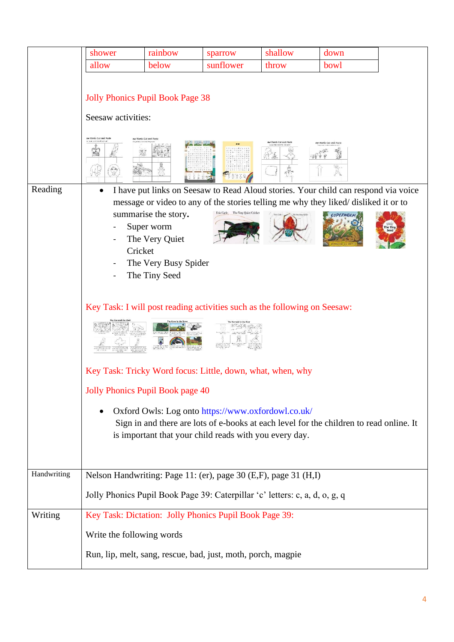|             | shower                                                                                                                                                           | rainbow                                                                                       | sparrow                                                                                                      | shallow                                                                                 | down |  |
|-------------|------------------------------------------------------------------------------------------------------------------------------------------------------------------|-----------------------------------------------------------------------------------------------|--------------------------------------------------------------------------------------------------------------|-----------------------------------------------------------------------------------------|------|--|
|             | allow                                                                                                                                                            | below                                                                                         | sunflower                                                                                                    | throw                                                                                   | bowl |  |
|             |                                                                                                                                                                  |                                                                                               |                                                                                                              |                                                                                         |      |  |
|             | <b>Jolly Phonics Pupil Book Page 38</b><br>Seesaw activities:<br>ow Words Cut and Paste<br>Words Cut and Pas<br><b>Schwarters warrings</b><br>w Words Cut and P. |                                                                                               |                                                                                                              |                                                                                         |      |  |
|             |                                                                                                                                                                  |                                                                                               |                                                                                                              |                                                                                         |      |  |
| Reading     |                                                                                                                                                                  |                                                                                               |                                                                                                              | I have put links on Seesaw to Read Aloud stories. Your child can respond via voice      |      |  |
|             |                                                                                                                                                                  |                                                                                               |                                                                                                              | message or video to any of the stories telling me why they liked/disliked it or to      |      |  |
|             | Cricket                                                                                                                                                          | summarise the story.<br>Super worm<br>The Very Quiet<br>The Very Busy Spider<br>The Tiny Seed | Eric Carle The Very Quiet Cricket                                                                            |                                                                                         |      |  |
|             | Key Task: I will post reading activities such as the following on Seesaw:                                                                                        |                                                                                               |                                                                                                              |                                                                                         |      |  |
|             |                                                                                                                                                                  |                                                                                               |                                                                                                              |                                                                                         |      |  |
|             | Key Task: Tricky Word focus: Little, down, what, when, why                                                                                                       |                                                                                               |                                                                                                              |                                                                                         |      |  |
|             | Jolly Phonics Pupil Book page 40                                                                                                                                 |                                                                                               |                                                                                                              |                                                                                         |      |  |
|             | ٠                                                                                                                                                                |                                                                                               | Oxford Owls: Log onto https://www.oxfordowl.co.uk/<br>is important that your child reads with you every day. | Sign in and there are lots of e-books at each level for the children to read online. It |      |  |
| Handwriting | Nelson Handwriting: Page 11: (er), page 30 (E,F), page 31 (H,I)                                                                                                  |                                                                                               |                                                                                                              |                                                                                         |      |  |
|             | Jolly Phonics Pupil Book Page 39: Caterpillar 'c' letters: c, a, d, o, g, q                                                                                      |                                                                                               |                                                                                                              |                                                                                         |      |  |
| Writing     | Key Task: Dictation: Jolly Phonics Pupil Book Page 39:                                                                                                           |                                                                                               |                                                                                                              |                                                                                         |      |  |
|             | Write the following words                                                                                                                                        |                                                                                               |                                                                                                              |                                                                                         |      |  |
|             | Run, lip, melt, sang, rescue, bad, just, moth, porch, magpie                                                                                                     |                                                                                               |                                                                                                              |                                                                                         |      |  |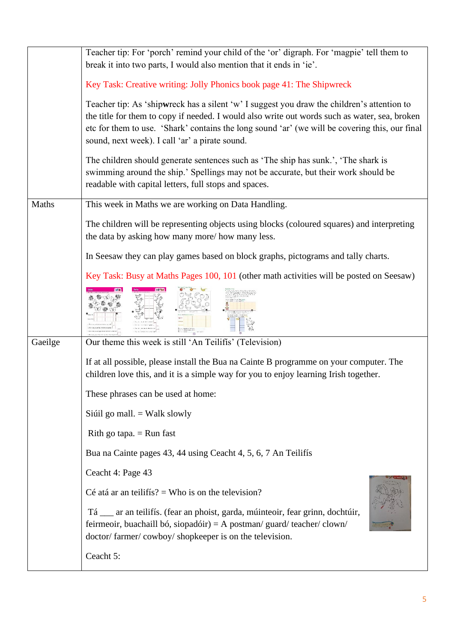|         | Teacher tip: For 'porch' remind your child of the 'or' digraph. For 'magpie' tell them to                                                                                                                          |  |  |  |  |  |
|---------|--------------------------------------------------------------------------------------------------------------------------------------------------------------------------------------------------------------------|--|--|--|--|--|
|         | break it into two parts, I would also mention that it ends in 'ie'.                                                                                                                                                |  |  |  |  |  |
|         | Key Task: Creative writing: Jolly Phonics book page 41: The Shipwreck                                                                                                                                              |  |  |  |  |  |
|         | Teacher tip: As 'shipwreck has a silent 'w' I suggest you draw the children's attention to                                                                                                                         |  |  |  |  |  |
|         | the title for them to copy if needed. I would also write out words such as water, sea, broken                                                                                                                      |  |  |  |  |  |
|         | etc for them to use. 'Shark' contains the long sound 'ar' (we will be covering this, our final                                                                                                                     |  |  |  |  |  |
|         | sound, next week). I call 'ar' a pirate sound.                                                                                                                                                                     |  |  |  |  |  |
|         | The children should generate sentences such as 'The ship has sunk.', 'The shark is                                                                                                                                 |  |  |  |  |  |
|         | swimming around the ship.' Spellings may not be accurate, but their work should be                                                                                                                                 |  |  |  |  |  |
|         | readable with capital letters, full stops and spaces.                                                                                                                                                              |  |  |  |  |  |
| Maths   | This week in Maths we are working on Data Handling.                                                                                                                                                                |  |  |  |  |  |
|         |                                                                                                                                                                                                                    |  |  |  |  |  |
|         | The children will be representing objects using blocks (coloured squares) and interpreting                                                                                                                         |  |  |  |  |  |
|         | the data by asking how many more/how many less.                                                                                                                                                                    |  |  |  |  |  |
|         | In Seesaw they can play games based on block graphs, pictograms and tally charts.                                                                                                                                  |  |  |  |  |  |
|         | Key Task: Busy at Maths Pages 100, 101 (other math activities will be posted on Seesaw)                                                                                                                            |  |  |  |  |  |
|         |                                                                                                                                                                                                                    |  |  |  |  |  |
|         |                                                                                                                                                                                                                    |  |  |  |  |  |
|         |                                                                                                                                                                                                                    |  |  |  |  |  |
|         |                                                                                                                                                                                                                    |  |  |  |  |  |
| Gaeilge | Our theme this week is still 'An Teilifís' (Television)                                                                                                                                                            |  |  |  |  |  |
|         | If at all possible, please install the Bua na Cainte B programme on your computer. The                                                                                                                             |  |  |  |  |  |
|         | children love this, and it is a simple way for you to enjoy learning Irish together.                                                                                                                               |  |  |  |  |  |
|         | These phrases can be used at home:                                                                                                                                                                                 |  |  |  |  |  |
|         | Siúil go mall. = Walk slowly                                                                                                                                                                                       |  |  |  |  |  |
|         | Rith go tapa. $=$ Run fast                                                                                                                                                                                         |  |  |  |  |  |
|         | Bua na Cainte pages 43, 44 using Ceacht 4, 5, 6, 7 An Teilifís                                                                                                                                                     |  |  |  |  |  |
|         | Ceacht 4: Page 43                                                                                                                                                                                                  |  |  |  |  |  |
|         | Cé atá ar an teilifís? = Who is on the television?                                                                                                                                                                 |  |  |  |  |  |
|         | Tá __ ar an teilifís. (fear an phoist, garda, múinteoir, fear grinn, dochtúir,<br>feirmeoir, buachaill bó, siopadóir) = A postman/ guard/ teacher/ clown/<br>doctor/farmer/cowboy/shopkeeper is on the television. |  |  |  |  |  |
|         |                                                                                                                                                                                                                    |  |  |  |  |  |
|         | Ceacht 5:                                                                                                                                                                                                          |  |  |  |  |  |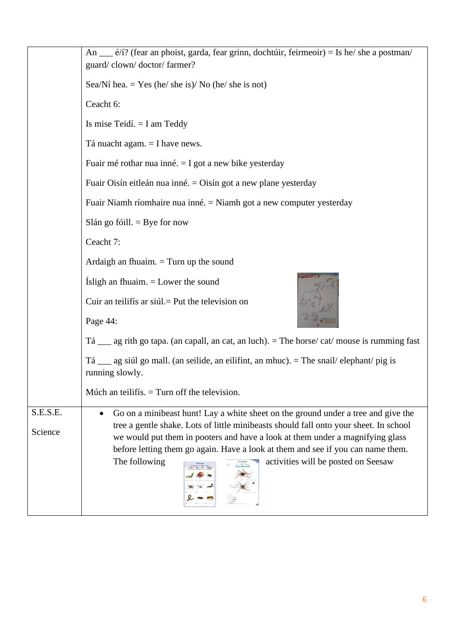|          | An ____ é/í? (fear an phoist, garda, fear grinn, dochtúir, feirmeoir) = Is he/ she a postman/<br>guard/clown/doctor/farmer?                                            |  |  |  |  |  |
|----------|------------------------------------------------------------------------------------------------------------------------------------------------------------------------|--|--|--|--|--|
|          | Sea/Ní hea. = Yes (he/ she is)/ No (he/ she is not)                                                                                                                    |  |  |  |  |  |
|          | Ceacht 6:                                                                                                                                                              |  |  |  |  |  |
|          | Is mise Teidí. $= I$ am Teddy                                                                                                                                          |  |  |  |  |  |
|          | Tá nuacht agam. $=$ I have news.                                                                                                                                       |  |  |  |  |  |
|          | Fuair mé rothar nua inné. $=$ I got a new bike yesterday                                                                                                               |  |  |  |  |  |
|          | Fuair Oisín eitleán nua inné. = Oisín got a new plane yesterday                                                                                                        |  |  |  |  |  |
|          | Fuair Niamh ríomhaire nua inné. = Niamh got a new computer yesterday                                                                                                   |  |  |  |  |  |
|          | Slán go fóill. $=$ Bye for now                                                                                                                                         |  |  |  |  |  |
|          | Ceacht 7:                                                                                                                                                              |  |  |  |  |  |
|          | Ardaigh an fhuaim. $=$ Turn up the sound                                                                                                                               |  |  |  |  |  |
|          | Isligh an fhuaim. $=$ Lower the sound                                                                                                                                  |  |  |  |  |  |
|          | Cuir an teilifís ar siúl. = Put the television on<br>Page 44:                                                                                                          |  |  |  |  |  |
|          | $T\acute{a}$ ag rith go tapa. (an capall, an cat, an luch). = The horse/cat/mouse is rumming fast                                                                      |  |  |  |  |  |
|          | Tá __ ag siúl go mall. (an seilide, an eilifint, an mhuc). = The snail/elephant/pig is<br>running slowly.                                                              |  |  |  |  |  |
|          | Múch an teilifís. $=$ Turn off the television.                                                                                                                         |  |  |  |  |  |
| S.E.S.E. | Go on a minibeast hunt! Lay a white sheet on the ground under a tree and give the                                                                                      |  |  |  |  |  |
| Science  | tree a gentle shake. Lots of little minibeasts should fall onto your sheet. In school<br>we would put them in pooters and have a look at them under a magnifying glass |  |  |  |  |  |
|          | before letting them go again. Have a look at them and see if you can name them.                                                                                        |  |  |  |  |  |
|          | activities will be posted on Seesaw<br>The following                                                                                                                   |  |  |  |  |  |
|          |                                                                                                                                                                        |  |  |  |  |  |